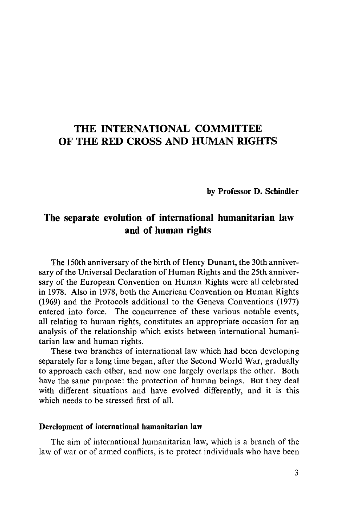# THE INTERNATIONAL COMMITTEE OF THE RED CROSS AND HUMAN RIGHTS

**by Professor D. Schindler**

# The separate evolution of international humanitarian law and of human rights

The 150th anniversary of the birth of Henry Dunant, the 30th anniversary of the Universal Declaration of Human Rights and the 25th anniversary of the European Convention on Human Rights were all celebrated in 1978. Also in 1978, both the American Convention on Human Rights (1969) and the Protocols additional to the Geneva Conventions (1977) entered into force. The concurrence of these various notable events, all relating to human rights, constitutes an appropriate occasion for an analysis of the relationship which exists between international humanitarian law and human rights.

These two branches of international law which had been developing separately for a long time began, after the Second World War, gradually to approach each other, and now one largely overlaps the other. Both have the same purpose: the protection of human beings. But they deal with different situations and have evolved differently, and it is this which needs to be stressed first of all.

#### **Development of international humanitarian law**

The aim of international humanitarian law, which is a branch of the law of war or of armed conflicts, is to protect individuals who have been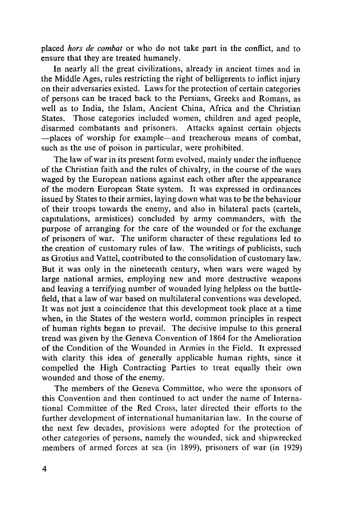placed *hors de combat* or who do not take part in the conflict, and to ensure that they are treated humanely.

In nearly all the great civilizations, already in ancient times and in the Middle Ages, rules restricting the right of belligerents to inflict injury on their adversaries existed. Laws for the protection of certain categories of persons can be traced back to the Persians, Greeks and Romans, as well as to India, the Islam, Ancient China, Africa and the Christian States. Those categories included women, children and aged people, disarmed combatants and prisoners. Attacks against certain objects —places of worship for example—and treacherous means of combat, such as the use of poison in particular, were prohibited.

The law of war in its present form evolved, mainly under the influence of the Christian faith and the rules of chivalry, in the course of the wars waged by the European nations against each other after the appearance of the modern European State system. It was expressed in ordinances issued by States to their armies, laying down what was to be the behaviour of their troops towards the enemy, and also in bilateral pacts (cartels, capitulations, armistices) concluded by army commanders, with the purpose of arranging for the care of the wounded or for the exchange of prisoners of war. The uniform character of these regulations led to the creation of customary rules of law. The writings of publicists, such as Grotius and Vattel, contributed to the consolidation of customary law. But it was only in the nineteenth century, when wars were waged by large national armies, employing new and more destructive weapons and leaving a terrifying number of wounded lying helpless on the battlefield, that a law of war based on multilateral conventions was developed. It was not just a coincidence that this development took place at a time when, in the States of the western world, common principles in respect of human rights began to prevail. The decisive impulse to this general trend was given by the Geneva Convention of 1864 for the Amelioration of the Condition of the Wounded in Armies in the Field. It expressed with clarity this idea of generally applicable human rights, since it compelled the High Contracting Parties to treat equally their own wounded and those of the enemy.

The members of the Geneva Committee, who were the sponsors of this Convention and then continued to act under the name of International Committee of the Red Cross, later directed their efforts to the further development of international humanitarian law. In the course of the next few decades, provisions were adopted for the protection of other categories of persons, namely the wounded, sick and shipwrecked members of armed forces at sea (in 1899), prisoners of war (in 1929)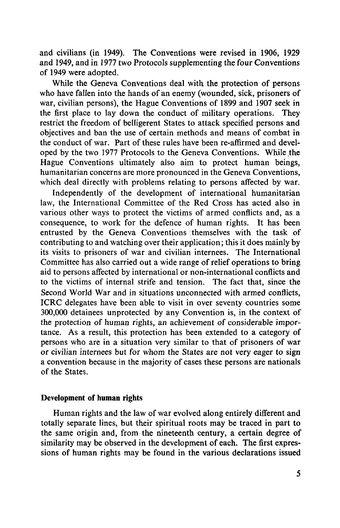and civilians (in 1949). The Conventions were revised in 1906, 1929 and 1949, and in 1977 two Protocols supplementing the four Conventions of 1949 were adopted.

While the Geneva Conventions deal with the protection of persons who have fallen into the hands of an enemy (wounded, sick, prisoners of war, civilian persons), the Hague Conventions of 1899 and 1907 seek in the first place to lay down the conduct of military operations. They restrict the freedom of belligerent States to attack specified persons and objectives and ban the use of certain methods and means of combat in the conduct of war. Part of these rules have been re-affirmed and developed by the two 1977 Protocols to the Geneva Conventions. While the Hague Conventions ultimately also aim to protect human beings, humanitarian concerns are more pronounced in the Geneva Conventions, which deal directly with problems relating to persons affected by war.

Independently of the development of international humanitarian law, the International Committee of the Red Cross has acted also in various other ways to protect the victims of armed conflicts and, as a consequence, to work for the defence of human rights. It has been entrusted by the Geneva Conventions themselves with the task of contributing to and watching over their application; this it does mainly by its visits to prisoners of war and civilian internees. The International Committee has also carried out a wide range of relief operations to bring aid to persons affected by international or non-international conflicts and to the victims of internal strife and tension. The fact that, since the Second World War and in situations unconnected with armed conflicts, ICRC delegates have been able to visit in over seventy countries some 300,000 detainees unprotected by any Convention is, in the context of the protection of human rights, an achievement of considerable importance. As a result, this protection has been extended to a category of persons who are in a situation very similar to that of prisoners of war or civilian internees but for whom the States are not very eager to sign a convention because in the majority of cases these persons are nationals of the States.

### **Development of human rights**

Human rights and the law of war evolved along entirely different and totally separate lines, but their spiritual roots may be traced in part to the same origin and, from the nineteenth century, a certain degree of similarity may be observed in the development of each. The first expressions of human rights may be found in the various declarations issued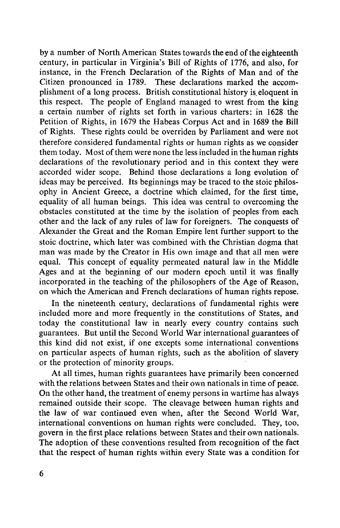by a number of North American States towards the end of the eighteenth century, in particular in Virginia's Bill of Rights of 1776, and also, for instance, in the French Declaration of the Rights of Man and of the Citizen pronounced in 1789. These declarations marked the accomplishment of a long process. British constitutional history is eloquent in this respect. The people of England managed to wrest from the king a certain number of rights set forth in various charters: in 1628 the Petition of Rights, in 1679 the Habeas Corpus Act and in 1689 the Bill of Rights. These rights could be overriden by Parliament and were not therefore considered fundamental rights or human rights as we consider them today. Most of them were none the less included in the human rights declarations of the revolutionary period and in this context they were accorded wider scope. Behind those declarations a long evolution of ideas may be perceived. Its beginnings may be traced to the stoic philosophy in Ancient Greece, a doctrine which claimed, for the first time, equality of all human beings. This idea was central to overcoming the obstacles constituted at the time by the isolation of peoples from each other and the lack of any rules of law for foreigners. The conquests of Alexander the Great and the Roman Empire lent further support to the stoic doctrine, which later was combined with the Christian dogma that man was made by the Creator in His own image and that all men were equal. This concept of equality permeated natural law in the Middle Ages and at the beginning of our modern epoch until it was finally incorporated in the teaching of the philosophers of the Age of Reason, on which the American and French declarations of human rights repose.

In the nineteenth century, declarations of fundamental rights were included more and more frequently in the constitutions of States, and today the constitutional law in nearly every country contains such guarantees. But until the Second World War international guarantees of this kind did not exist, if one excepts some international conventions on particular aspects of human rights, such as the abolition of slavery or the protection of minority groups.

At all times, human rights guarantees have primarily been concerned with the relations between States and their own nationals in time of peace. On the other hand, the treatment of enemy persons in wartime has always remained outside their scope. The cleavage between human rights and the law of war continued even when, after the Second World War, international conventions on human rights were concluded. They, too, govern in the first place relations between States and their own nationals. The adoption of these conventions resulted from recognition of the fact that the respect of human rights within every State was a condition for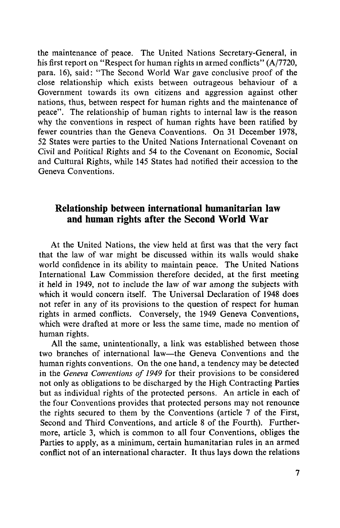the maintenance of peace. The United Nations Secretary-General, in his first report on "Respect for human rights in armed conflicts" (A/7720, para. 16), said: "The Second World War gave conclusive proof of the close relationship which exists between outrageous behaviour of a Government towards its own citizens and aggression against other nations, thus, between respect for human rights and the maintenance of peace". The relationship of human rights to internal law is the reason why the conventions in respect of human rights have been ratified by fewer countries than the Geneva Conventions. On 31 December 1978, 52 States were parties to the United Nations International Covenant on Civil and Political Rights and 54 to the Covenant on Economic, Social and Cultural Rights, while 145 States had notified their accession to the Geneva Conventions.

## Relationship between international humanitarian law and human rights after the Second World War

At the United Nations, the view held at first was that the very fact that the law of war might be discussed within its walls would shake world confidence in its ability to maintain peace. The United Nations International Law Commission therefore decided, at the first meeting it held in 1949, not to include the law of war among the subjects with which it would concern itself. The Universal Declaration of 1948 does not refer in any of its provisions to the question of respect for human rights in armed conflicts. Conversely, the 1949 Geneva Conventions, which were drafted at more or less the same time, made no mention of human rights.

All the same, unintentionally, a link was established between those two branches of international law—the Geneva Conventions and the human rights conventions. On the one hand, a tendency may be detected in the *Geneva Conventions of 1949* for their provisions to be considered not only as obligations to be discharged by the High Contracting Parties but as individual rights of the protected persons. An article in each of the four Conventions provides that protected persons may not renounce the rights secured to them by the Conventions (article 7 of the First, Second and Third Conventions, and article 8 of the Fourth). Furthermore, article 3, which is common to all four Conventions, obliges the Parties to apply, as a minimum, certain humanitarian rules in an armed conflict not of an international character. It thus lays down the relations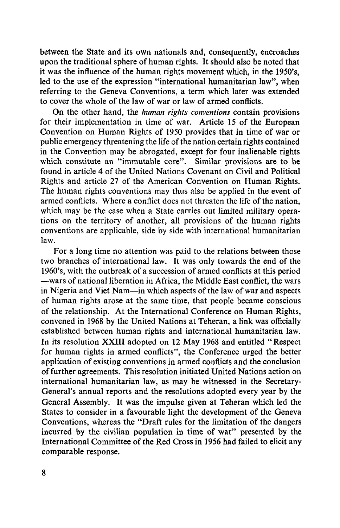between the State and its own nationals and, consequently, encroaches upon the traditional sphere of human rights. It should also be noted that it was the influence of the human rights movement which, in the 1950's, led to the use of the expression "international humanitarian law", when referring to the Geneva Conventions, a term which later was extended to cover the whole of the law of war or law of armed conflicts.

On the other hand, the *human rights conventions* contain provisions for their implementation in time of war. Article 15 of the European Convention on Human Rights of 1950 provides that in time of war or public emergency threatening the life of the nation certain rights contained in the Convention may be abrogated, except for four inalienable rights which constitute an "immutable core". Similar provisions are to be found in article 4 of the United Nations Covenant on Civil and Political Rights and article 27 of the American Convention on Human Rights. The human rights conventions may thus also be applied in the event of armed conflicts. Where a conflict does not threaten the life of the nation, which may be the case when a State carries out limited military operations on the territory of another, all provisions of the human rights conventions are applicable, side by side with international humanitarian law.

For a long time no attention was paid to the relations between those two branches of international law. It was only towards the end of the 1960's, with the outbreak of a succession of armed conflicts at this period —wars of national liberation in Africa, the Middle East conflict, the wars in Nigeria and Viet Nam—in which aspects of the law of war and aspects of human rights arose at the same time, that people became conscious of the relationship. At the International Conference on Human Rights, convened in 1968 by the United Nations at Teheran, a link was officially established between human rights and international humanitarian law. In its resolution XXIII adopted on 12 May 1968 and entitled "Respect for human rights in armed conflicts", the Conference urged the better application of existing conventions in armed conflicts and the conclusion of further agreements. This resolution initiated United Nations action on international humanitarian law, as may be witnessed in the Secretary-General's annual reports and the resolutions adopted every year by the General Assembly. It was the impulse given at Teheran which led the States to consider in a favourable light the development of the Geneva Conventions, whereas the "Draft rules for the limitation of the dangers incurred by the civilian population in time of war" presented by the International Committee of the Red Cross in 1956 had failed to elicit any comparable response.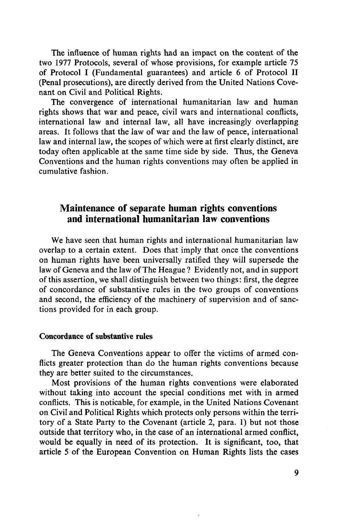The influence of human rights had an impact on the content of the two 1977 Protocols, several of whose provisions, for example article 75 of Protocol I (Fundamental guarantees) and article 6 of Protocol II (Penal prosecutions), are directly derived from the United Nations Covenant on Civil and Political Rights.

The convergence of international humanitarian law and human rights shows that war and peace, civil wars and international conflicts, international law and internal law, all have increasingly overlapping areas. It follows that the law of war and the law of peace, international law and internal law, the scopes of which were at first clearly distinct, are today often applicable at the same time side by side. Thus, the Geneva Conventions and the human rights conventions may often be applied in cumulative fashion.

## Maintenance of separate human rights conventions and international humanitarian law conventions

We have seen that human rights and international humanitarian law overlap to a certain extent. Does that imply that once the conventions on human rights have been universally ratified they will supersede the law of Geneva and the law of The Heague ? Evidently not, and in support of this assertion, we shall distinguish between two things: first, the degree of concordance of substantive rules in the two groups of conventions and second, the efficiency of the machinery of supervision and of sanctions provided for in each group.

#### **Concordance of substantive rules**

The Geneva Conventions appear to offer the victims of armed conflicts greater protection than do the human rights conventions because they are better suited to the circumstances.

Most provisions of the human rights conventions were elaborated without taking into account the special conditions met with in armed conflicts. This is noticable, for example, in the United Nations Covenant on Civil and Political Rights which protects only persons within the territory of a State Party to the Covenant (article 2, para. 1) but not those outside that territory who, in the case of an international armed conflict, would be equally in need of its protection. It is significant, too, that article 5 of the European Convention on Human Rights lists the cases

9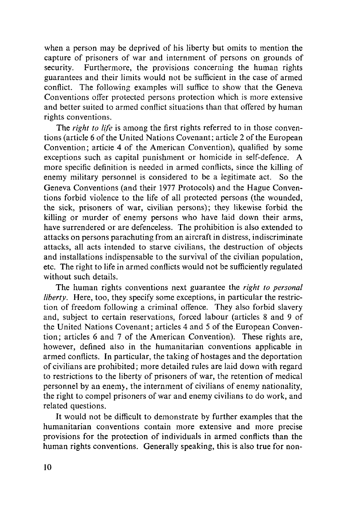when a person may be deprived of his liberty but omits to mention the capture of prisoners of war and internment of persons on grounds of security. Furthermore, the provisions concerning the human rights guarantees and their limits would not be sufficient in the case of armed conflict. The following examples will suffice to show that the Geneva Conventions offer protected persons protection which is more extensive and better suited to armed conflict situations than that offered by human rights conventions.

The *right to life* is among the first rights referred to in those conventions (article 6 of the United Nations Covenant; article 2 of the European Convention; article 4 of the American Convention), qualified by some exceptions such as capital punishment or homicide in self-defence. A more specific definition is needed in armed conflicts, since the killing of enemy military personnel is considered to be a legitimate act. So the Geneva Conventions (and their 1977 Protocols) and the Hague Conventions forbid violence to the life of all protected persons (the wounded, the sick, prisoners of war, civilian persons); they likewise forbid the killing or murder of enemy persons who have laid down their arms, have surrendered or are defenceless. The prohibition is also extended to attacks on persons parachuting from an aircraft in distress, indiscriminate attacks, all acts intended to starve civilians, the destruction of objects and installations indispensable to the survival of the civilian population, etc. The right to life in armed conflicts would not be sufficiently regulated without such details.

The human rights conventions next guarantee the *right to personal liberty.* Here, too, they specify some exceptions, in particular the restriction of freedom following a criminal offence. They also forbid slavery and, subject to certain reservations, forced labour (articles 8 and 9 of the United Nations Covenant; articles 4 and 5 of the European Convention ; articles 6 and 7 of the American Convention). These rights are, however, defined also in the humanitarian conventions applicable in armed conflicts. In particular, the taking of hostages and the deportation of civilians are prohibited; more detailed rules are laid down with regard to restrictions to the liberty of prisoners of war, the retention of medical personnel by an enemy, the internment of civilians of enemy nationality, the right to compel prisoners of war and enemy civilians to do work, and related questions.

It would not be difficult to demonstrate by further examples that the humanitarian conventions contain more extensive and more precise provisions for the protection of individuals in armed conflicts than the human rights conventions. Generally speaking, this is also true for non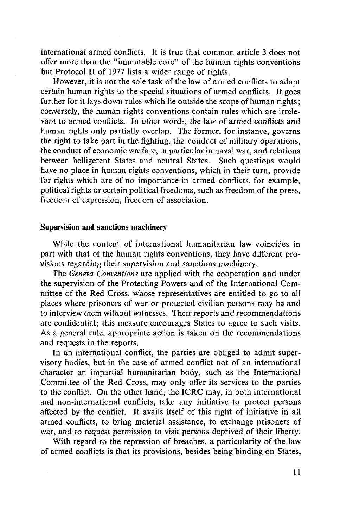international armed conflicts. It is true that common article 3 does not offer more than the "immutable core" of the human rights conventions but Protocol II of 1977 lists a wider range of rights.

However, it is not the sole task of the law of armed conflicts to adapt certain human rights to the special situations of armed conflicts. It goes further for it lays down rules which lie outside the scope of human rights; conversely, the human rights conventions contain rules which are irrelevant to armed conflicts. In other words, the law of armed conflicts and human rights only partially overlap. The former, for instance, governs the right to take part in the fighting, the conduct of military operations, the conduct of economic warfare, in particular in naval war, and relations between belligerent States and neutral States. Such questions would have no place in human rights conventions, which in their turn, provide for rights which are of no importance in armed conflicts, for example, political rights or certain political freedoms, such as freedom of the press, freedom of expression, freedom of association.

#### Supervision **and** sanctions machinery

While the content of international humanitarian law coincides in part with that of the human rights conventions, they have different provisions regarding their supervision and sanctions machinery.

The *Geneva Conventions* are applied with the cooperation and under the supervision of the Protecting Powers and of the International Committee of the Red Cross, whose representatives are entitled to go to all places where prisoners of war or protected civilian persons may be and to interview them without witnesses. Their reports and recommendations are confidential; this measure encourages States to agree to such visits. As a general rule, appropriate action is taken on the recommendations and requests in the reports.

In an international conflict, the parties are obliged to admit supervisory bodies, but in the case of armed conflict not of an international character an impartial humanitarian body, such as the International Committee of the Red Cross, may only offer its services to the parties to the conflict. On the other hand, the ICRC may, in both international and non-international conflicts, take any initiative to protect persons affected by the conflict. It avails itself of this right of initiative in all armed conflicts, to bring material assistance, to exchange prisoners of war, and to request permission to visit persons deprived of their liberty.

With regard to the repression of breaches, a particularity of the law of armed conflicts is that its provisions, besides being binding on States,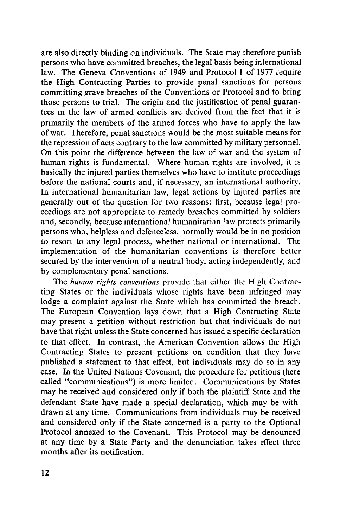are also directly binding on individuals. The State may therefore punish persons who have committed breaches, the legal basis being international law. The Geneva Conventions of 1949 and Protocol I of 1977 require the High Contracting Parties to provide penal sanctions for persons committing grave breaches of the Conventions or Protocol and to bring those persons to trial. The origin and the justification of penal guarantees in the law of armed conflicts are derived from the fact that it is primarily the members of the armed forces who have to apply the law of war. Therefore, penal sanctions would be the most suitable means for the repression of acts contrary to the law committed by military personnel. On this point the difference between the law of war and the system of human rights is fundamental. Where human rights are involved, it is basically the injured parties themselves who have to institute proceedings before the national courts and, if necessary, an international authority. In international humanitarian law, legal actions by injured parties are generally out of the question for two reasons: first, because legal proceedings are not appropriate to remedy breaches committed by soldiers and, secondly, because international humanitarian law protects primarily persons who, helpless and defenceless, normally would be in no position to resort to any legal process, whether national or international. The implementation of the humanitarian conventions is therefore better secured by the intervention of a neutral body, acting independently, and by complementary penal sanctions.

The *human rights conventions* provide that either the High Contracting States or the individuals whose rights have been infringed may lodge a complaint against the State which has committed the breach. The European Convention lays down that a High Contracting State may present a petition without restriction but that individuals do not have that right unless the State concerned has issued a specific declaration to that effect. In contrast, the American Convention allows the High Contracting States to present petitions on condition that they have published a statement to that effect, but individuals may do so in any case. In the United Nations Covenant, the procedure for petitions (here called "communications") is more limited. Communications by States may be received and considered only if both the plaintiff State and the defendant State have made a special declaration, which may be withdrawn at any time. Communications from individuals may be received and considered only if the State concerned is a party to the Optional Protocol annexed to the Covenant. This Protocol may be denounced at any time by a State Party and the denunciation takes effect three months after its notification.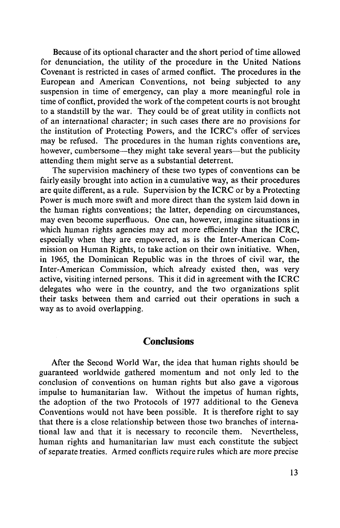Because of its optional character and the short period of time allowed for denunciation, the utility of the procedure in the United Nations Covenant is restricted in cases of armed conflict. The procedures in the European and American Conventions, not being subjected to any suspension in time of emergency, can play a more meaningful role in time of conflict, provided the work of the competent courts is not brought to a standstill by the war. They could be of great utility in conflicts not of an international character; in such cases there are no provisions for the institution of Protecting Powers, and the ICRC's offer of services may be refused. The procedures in the human rights conventions are, however, cumbersome—they might take several years—but the publicity attending them might serve as a substantial deterrent.

The supervision machinery of these two types of conventions can be fairly easily brought into action in a cumulative way, as their procedures are quite different, as a rule. Supervision by the ICRC or by a Protecting Power is much more swift and more direct than the system laid down in the human rights conventions; the latter, depending on circumstances, may even become superfluous. One can, however, imagine situations in which human rights agencies may act more efficiently than the ICRC, especially when they are empowered, as is the Inter-American Commission on Human Rights, to take action on their own initiative. When, in 1965, the Dominican Republic was in the throes of civil war, the Inter-American Commission, which already existed then, was very active, visiting interned persons. This it did in agreement with the ICRC delegates who were in the country, and the two organizations split their tasks between them and carried out their operations in such a way as to avoid overlapping.

### **Conclusions**

After the Second World War, the idea that human rights should be guaranteed worldwide gathered momentum and not only led to the conclusion of conventions on human rights but also gave a vigorous impulse to humanitarian law. Without the impetus of human rights, the adoption of the two Protocols of 1977 additional to the Geneva Conventions would not have been possible. It is therefore right to say that there is a close relationship between those two branches of international law and that it is necessary to reconcile them. Nevertheless, human rights and humanitarian law must each constitute the subject of separate treaties. Armed conflicts require rules which are more precise